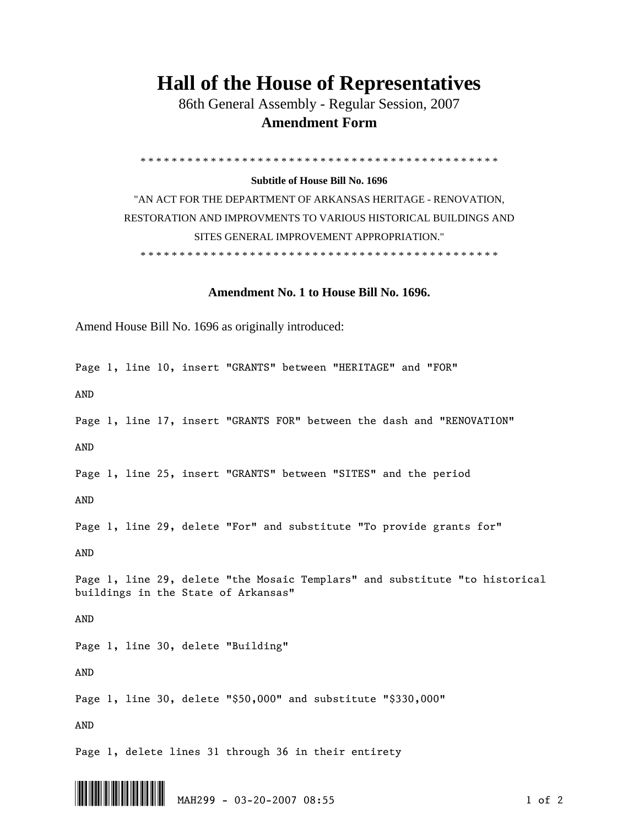## **Hall of the House of Representatives**

 86th General Assembly - Regular Session, 2007  **Amendment Form** 

\* \* \* \* \* \* \* \* \* \* \* \* \* \* \* \* \* \* \* \* \* \* \* \* \* \* \* \* \* \* \* \* \* \* \* \* \* \* \* \* \* \* \* \* \* \*

## **Subtitle of House Bill No. 1696**

"AN ACT FOR THE DEPARTMENT OF ARKANSAS HERITAGE - RENOVATION, RESTORATION AND IMPROVMENTS TO VARIOUS HISTORICAL BUILDINGS AND SITES GENERAL IMPROVEMENT APPROPRIATION." \* \* \* \* \* \* \* \* \* \* \* \* \* \* \* \* \* \* \* \* \* \* \* \* \* \* \* \* \* \* \* \* \* \* \* \* \* \* \* \* \* \* \* \* \* \*

## **Amendment No. 1 to House Bill No. 1696.**

Amend House Bill No. 1696 as originally introduced:

Page 1, line 10, insert "GRANTS" between "HERITAGE" and "FOR"

AND

Page 1, line 17, insert "GRANTS FOR" between the dash and "RENOVATION" AND

Page 1, line 25, insert "GRANTS" between "SITES" and the period

AND

Page 1, line 29, delete "For" and substitute "To provide grants for"

AND

Page 1, line 29, delete "the Mosaic Templars" and substitute "to historical buildings in the State of Arkansas"

AND

Page 1, line 30, delete "Building"

AND

Page 1, line 30, delete "\$50,000" and substitute "\$330,000"

AND

Page 1, delete lines 31 through 36 in their entirety